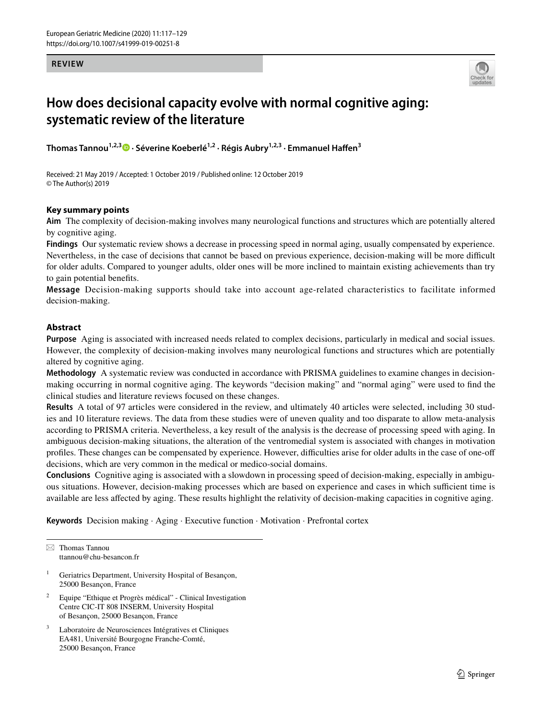#### **REVIEW**



# **How does decisional capacity evolve with normal cognitive aging: systematic review of the literature**

**Thomas Tannou<sup>1,2,3</sup> •· Séverine Koeberlé<sup>1,2</sup> [·](http://orcid.org/0000-0003-3476-9822) Régis Aubry<sup>1,2,3</sup> · Emmanuel Haffen<sup>3</sup>** 

Received: 21 May 2019 / Accepted: 1 October 2019 / Published online: 12 October 2019 © The Author(s) 2019

# **Key summary points**

**Aim** The complexity of decision-making involves many neurological functions and structures which are potentially altered by cognitive aging.

**Findings** Our systematic review shows a decrease in processing speed in normal aging, usually compensated by experience. Nevertheless, in the case of decisions that cannot be based on previous experience, decision-making will be more difficult for older adults. Compared to younger adults, older ones will be more inclined to maintain existing achievements than try to gain potential benefts.

**Message** Decision-making supports should take into account age-related characteristics to facilitate informed decision-making.

# **Abstract**

**Purpose** Aging is associated with increased needs related to complex decisions, particularly in medical and social issues. However, the complexity of decision-making involves many neurological functions and structures which are potentially altered by cognitive aging.

**Methodology** A systematic review was conducted in accordance with PRISMA guidelines to examine changes in decisionmaking occurring in normal cognitive aging. The keywords "decision making" and "normal aging" were used to fnd the clinical studies and literature reviews focused on these changes.

**Results** A total of 97 articles were considered in the review, and ultimately 40 articles were selected, including 30 studies and 10 literature reviews. The data from these studies were of uneven quality and too disparate to allow meta-analysis according to PRISMA criteria. Nevertheless, a key result of the analysis is the decrease of processing speed with aging. In ambiguous decision-making situations, the alteration of the ventromedial system is associated with changes in motivation profiles. These changes can be compensated by experience. However, difficulties arise for older adults in the case of one-off decisions, which are very common in the medical or medico-social domains.

**Conclusions** Cognitive aging is associated with a slowdown in processing speed of decision-making, especially in ambiguous situations. However, decision-making processes which are based on experience and cases in which sufficient time is available are less afected by aging. These results highlight the relativity of decision-making capacities in cognitive aging.

**Keywords** Decision making · Aging · Executive function · Motivation · Prefrontal cortex

- Geriatrics Department, University Hospital of Besançon, 25000 Besançon, France
- <sup>2</sup> Equipe "Ethique et Progrès médical" Clinical Investigation Centre CIC-IT 808 INSERM, University Hospital of Besançon, 25000 Besançon, France
- Laboratoire de Neurosciences Intégratives et Cliniques EA481, Université Bourgogne Franche-Comté, 25000 Besançon, France

 $\boxtimes$  Thomas Tannou ttannou@chu-besancon.fr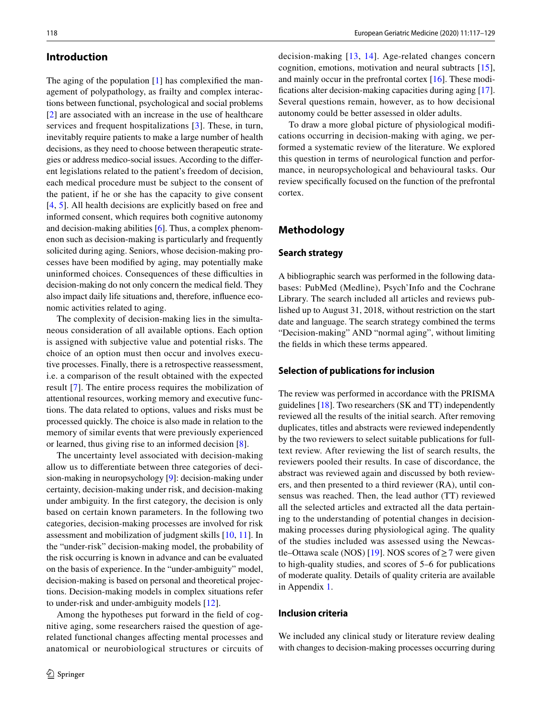#### **Introduction**

The aging of the population [[1\]](#page-11-0) has complexified the management of polypathology, as frailty and complex interactions between functional, psychological and social problems [\[2](#page-11-1)] are associated with an increase in the use of healthcare services and frequent hospitalizations [\[3](#page-11-2)]. These, in turn, inevitably require patients to make a large number of health decisions, as they need to choose between therapeutic strategies or address medico-social issues. According to the diferent legislations related to the patient's freedom of decision, each medical procedure must be subject to the consent of the patient, if he or she has the capacity to give consent [\[4](#page-11-3), [5\]](#page-11-4). All health decisions are explicitly based on free and informed consent, which requires both cognitive autonomy and decision-making abilities [\[6](#page-11-5)]. Thus, a complex phenomenon such as decision-making is particularly and frequently solicited during aging. Seniors, whose decision-making processes have been modifed by aging, may potentially make uninformed choices. Consequences of these difficulties in decision-making do not only concern the medical feld. They also impact daily life situations and, therefore, infuence economic activities related to aging.

The complexity of decision-making lies in the simultaneous consideration of all available options. Each option is assigned with subjective value and potential risks. The choice of an option must then occur and involves executive processes. Finally, there is a retrospective reassessment, i.e. a comparison of the result obtained with the expected result [\[7\]](#page-11-6). The entire process requires the mobilization of attentional resources, working memory and executive functions. The data related to options, values and risks must be processed quickly. The choice is also made in relation to the memory of similar events that were previously experienced or learned, thus giving rise to an informed decision [[8\]](#page-11-7).

The uncertainty level associated with decision-making allow us to diferentiate between three categories of decision-making in neuropsychology [[9](#page-11-8)]: decision-making under certainty, decision-making under risk, and decision-making under ambiguity. In the frst category, the decision is only based on certain known parameters. In the following two categories, decision-making processes are involved for risk assessment and mobilization of judgment skills [\[10](#page-11-9), [11](#page-11-10)]. In the "under-risk" decision-making model, the probability of the risk occurring is known in advance and can be evaluated on the basis of experience. In the "under-ambiguity" model, decision-making is based on personal and theoretical projections. Decision-making models in complex situations refer to under-risk and under-ambiguity models [[12\]](#page-11-11).

Among the hypotheses put forward in the feld of cognitive aging, some researchers raised the question of agerelated functional changes afecting mental processes and anatomical or neurobiological structures or circuits of decision-making [[13](#page-11-12), [14\]](#page-11-13). Age-related changes concern cognition, emotions, motivation and neural subtracts [\[15](#page-11-14)], and mainly occur in the prefrontal cortex [[16\]](#page-11-15). These modifcations alter decision-making capacities during aging [\[17](#page-11-16)]. Several questions remain, however, as to how decisional autonomy could be better assessed in older adults.

To draw a more global picture of physiological modifcations occurring in decision-making with aging, we performed a systematic review of the literature. We explored this question in terms of neurological function and performance, in neuropsychological and behavioural tasks. Our review specifcally focused on the function of the prefrontal cortex.

# **Methodology**

#### **Search strategy**

A bibliographic search was performed in the following databases: PubMed (Medline), Psych'Info and the Cochrane Library. The search included all articles and reviews published up to August 31, 2018, without restriction on the start date and language. The search strategy combined the terms "Decision-making" AND "normal aging", without limiting the felds in which these terms appeared.

#### **Selection of publications for inclusion**

The review was performed in accordance with the PRISMA guidelines [\[18](#page-11-17)]. Two researchers (SK and TT) independently reviewed all the results of the initial search. After removing duplicates, titles and abstracts were reviewed independently by the two reviewers to select suitable publications for fulltext review. After reviewing the list of search results, the reviewers pooled their results. In case of discordance, the abstract was reviewed again and discussed by both reviewers, and then presented to a third reviewer (RA), until consensus was reached. Then, the lead author (TT) reviewed all the selected articles and extracted all the data pertaining to the understanding of potential changes in decisionmaking processes during physiological aging. The quality of the studies included was assessed using the Newcas-tle–Ottawa scale (NOS) [\[19](#page-11-18)]. NOS scores of  $\geq$  7 were given to high-quality studies, and scores of 5–6 for publications of moderate quality. Details of quality criteria are available in Appendix [1.](#page-10-0)

### **Inclusion criteria**

We included any clinical study or literature review dealing with changes to decision-making processes occurring during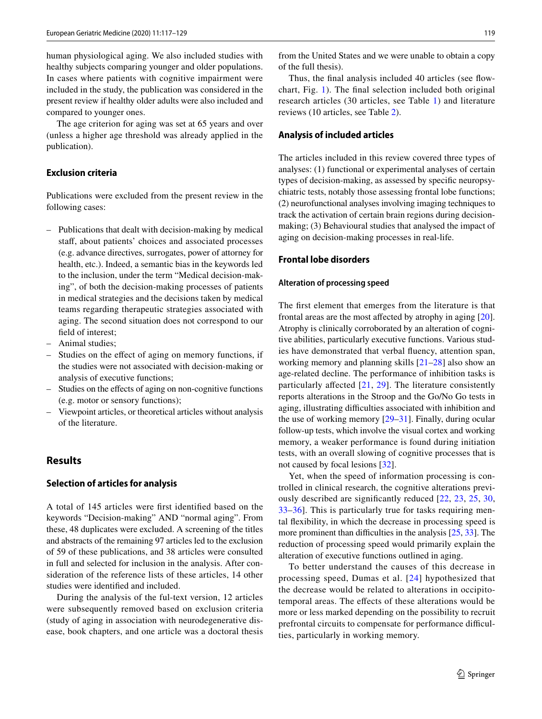human physiological aging. We also included studies with healthy subjects comparing younger and older populations. In cases where patients with cognitive impairment were included in the study, the publication was considered in the present review if healthy older adults were also included and compared to younger ones.

The age criterion for aging was set at 65 years and over (unless a higher age threshold was already applied in the publication).

### **Exclusion criteria**

Publications were excluded from the present review in the following cases:

- Publications that dealt with decision-making by medical staff, about patients' choices and associated processes (e.g. advance directives, surrogates, power of attorney for health, etc.). Indeed, a semantic bias in the keywords led to the inclusion, under the term "Medical decision-making", of both the decision-making processes of patients in medical strategies and the decisions taken by medical teams regarding therapeutic strategies associated with aging. The second situation does not correspond to our feld of interest;
- Animal studies;
- Studies on the efect of aging on memory functions, if the studies were not associated with decision-making or analysis of executive functions;
- Studies on the efects of aging on non-cognitive functions (e.g. motor or sensory functions);
- Viewpoint articles, or theoretical articles without analysis of the literature.

# **Results**

#### **Selection of articles for analysis**

A total of 145 articles were frst identifed based on the keywords "Decision-making" AND "normal aging". From these, 48 duplicates were excluded. A screening of the titles and abstracts of the remaining 97 articles led to the exclusion of 59 of these publications, and 38 articles were consulted in full and selected for inclusion in the analysis. After consideration of the reference lists of these articles, 14 other studies were identifed and included.

During the analysis of the ful-text version, 12 articles were subsequently removed based on exclusion criteria (study of aging in association with neurodegenerative disease, book chapters, and one article was a doctoral thesis from the United States and we were unable to obtain a copy of the full thesis).

Thus, the final analysis included 40 articles (see flowchart, Fig. [1](#page-3-0)). The fnal selection included both original research articles (30 articles, see Table [1](#page-4-0)) and literature reviews (10 articles, see Table [2](#page-7-0)).

#### **Analysis of included articles**

The articles included in this review covered three types of analyses: (1) functional or experimental analyses of certain types of decision-making, as assessed by specifc neuropsychiatric tests, notably those assessing frontal lobe functions; (2) neurofunctional analyses involving imaging techniques to track the activation of certain brain regions during decisionmaking; (3) Behavioural studies that analysed the impact of aging on decision-making processes in real-life.

# **Frontal lobe disorders**

#### **Alteration of processing speed**

The frst element that emerges from the literature is that frontal areas are the most affected by atrophy in aging [\[20](#page-11-19)]. Atrophy is clinically corroborated by an alteration of cognitive abilities, particularly executive functions. Various studies have demonstrated that verbal fuency, attention span, working memory and planning skills [[21](#page-11-20)[–28](#page-11-21)] also show an age-related decline. The performance of inhibition tasks is particularly afected [[21,](#page-11-20) [29](#page-11-22)]. The literature consistently reports alterations in the Stroop and the Go/No Go tests in aging, illustrating difficulties associated with inhibition and the use of working memory [\[29](#page-11-22)–[31\]](#page-11-23). Finally, during ocular follow-up tests, which involve the visual cortex and working memory, a weaker performance is found during initiation tests, with an overall slowing of cognitive processes that is not caused by focal lesions [[32](#page-11-24)].

Yet, when the speed of information processing is controlled in clinical research, the cognitive alterations previously described are signifcantly reduced [\[22,](#page-11-25) [23,](#page-11-26) [25,](#page-11-27) [30,](#page-11-28) [33](#page-11-29)–[36\]](#page-11-30). This is particularly true for tasks requiring mental fexibility, in which the decrease in processing speed is more prominent than difficulties in the analysis  $[25, 33]$  $[25, 33]$  $[25, 33]$ . The reduction of processing speed would primarily explain the alteration of executive functions outlined in aging.

To better understand the causes of this decrease in processing speed, Dumas et al. [[24\]](#page-11-31) hypothesized that the decrease would be related to alterations in occipitotemporal areas. The efects of these alterations would be more or less marked depending on the possibility to recruit prefrontal circuits to compensate for performance difficulties, particularly in working memory.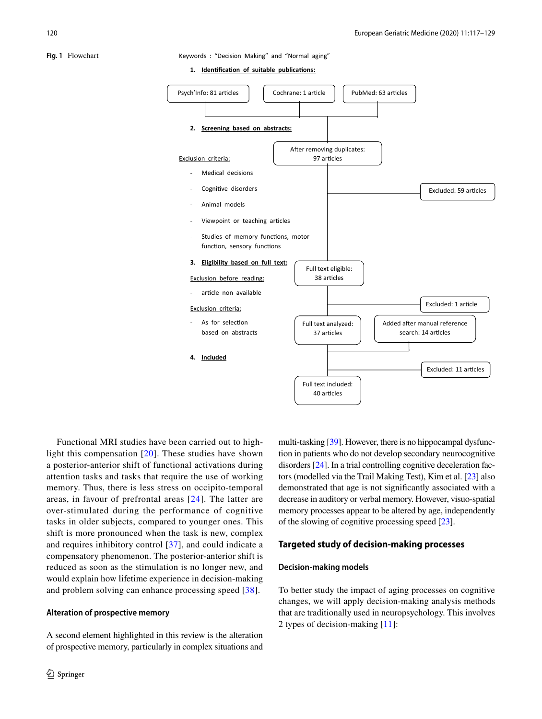<span id="page-3-0"></span>**Fig. 1** Flowchart Keywords : "Decision Making" and "Normal aging"

1. **Identification of suitable publications:** 



Functional MRI studies have been carried out to highlight this compensation [[20\]](#page-11-19). These studies have shown a posterior-anterior shift of functional activations during attention tasks and tasks that require the use of working memory. Thus, there is less stress on occipito-temporal areas, in favour of prefrontal areas [[24](#page-11-31)]. The latter are over-stimulated during the performance of cognitive tasks in older subjects, compared to younger ones. This shift is more pronounced when the task is new, complex and requires inhibitory control [\[37\]](#page-11-32), and could indicate a compensatory phenomenon. The posterior-anterior shift is reduced as soon as the stimulation is no longer new, and would explain how lifetime experience in decision-making and problem solving can enhance processing speed [[38\]](#page-11-33).

#### **Alteration of prospective memory**

A second element highlighted in this review is the alteration of prospective memory, particularly in complex situations and multi-tasking [\[39\]](#page-11-34). However, there is no hippocampal dysfunction in patients who do not develop secondary neurocognitive disorders [[24](#page-11-31)]. In a trial controlling cognitive deceleration factors (modelled via the Trail Making Test), Kim et al. [\[23](#page-11-26)] also demonstrated that age is not signifcantly associated with a decrease in auditory or verbal memory. However, visuo-spatial memory processes appear to be altered by age, independently of the slowing of cognitive processing speed [[23\]](#page-11-26).

#### **Targeted study of decision‑making processes**

#### **Decision‑making models**

To better study the impact of aging processes on cognitive changes, we will apply decision-making analysis methods that are traditionally used in neuropsychology. This involves 2 types of decision-making [\[11\]](#page-11-10):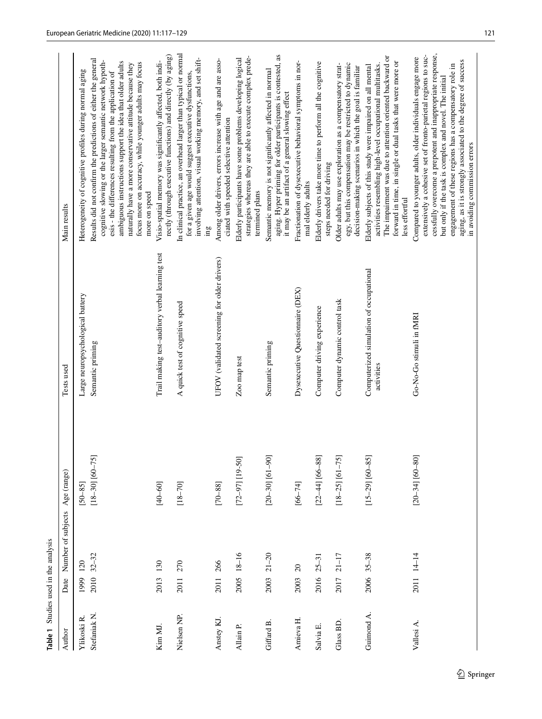<span id="page-4-0"></span>

|                         | Table 1 Studies used in the analysis |                    |                     |                                                       |                                                                                                                                                                                                                                                                                                                                                                                                               |
|-------------------------|--------------------------------------|--------------------|---------------------|-------------------------------------------------------|---------------------------------------------------------------------------------------------------------------------------------------------------------------------------------------------------------------------------------------------------------------------------------------------------------------------------------------------------------------------------------------------------------------|
| Author                  | Date                                 | Number of subjects | Age (range)         | Tests used                                            | Main results                                                                                                                                                                                                                                                                                                                                                                                                  |
| Ylikoski R              | 120<br>1999                          |                    | $[50 - 85]$         | Large neuropsychological battery                      | Heterogeneity of cognitive profiles during normal aging                                                                                                                                                                                                                                                                                                                                                       |
| Stefaniak <sub>N.</sub> | $32 - 32$<br>2010                    |                    | $[18-30]$ $[60-75]$ | Semantic priming                                      | Results did not confirm the predictions of either the general<br>cognitive slowing or the larger semantic network hypoth-<br>ambiguous instructions support the idea that older adults<br>focus more on accuracy, while younger adults may focus<br>naturally have a more conservative attitude because they<br>esis - the differences resulting from the application of<br>more on speed                     |
| Kim MJ.                 | 2013 130                             |                    | $[40 - 60]$         | Trail making test-auditory verbal learning test       | rectly (through executive functions) and directly (by aging)<br>Visio-spatial memory was significantly affected, both indi-                                                                                                                                                                                                                                                                                   |
| Nielsen NP.             | 2011 270                             |                    | $[18 - 70]$         | A quick test of cognitive speed                       | In clinical practice, an overhead larger than typical or normal<br>involving attention, visual working memory, and set shift-<br>for a given age would suggest executive dysfunctions,<br>mg                                                                                                                                                                                                                  |
| Anstey KJ.              | 2011 266                             |                    | $[70 - 88]$         | UFOV (validated screening for older drivers)          | Among older drivers, errors increase with age and are asso-<br>ciated with speeded selective attention                                                                                                                                                                                                                                                                                                        |
| Allain P.               | 2005 18-16                           |                    | $[72 - 97]$ [19-50] | Zoo map test                                          | strategies whereas they are able to execute complex prede-<br>Elderly participants have some problems developing logical<br>termined plans                                                                                                                                                                                                                                                                    |
| Giffard B               | $21 - 20$<br>2003                    |                    | $[20-30]$ [61-90]   | Semantic priming                                      | aging. Hyper priming for older participants is contested, as<br>Semantic memory is not significantly affected in normal<br>it may be an artifact of a general slowing effect                                                                                                                                                                                                                                  |
| Amieva H.               | $\Omega$<br>2003                     |                    | $[66 - 74]$         | Dysexecutive Questionnaire (DEX)                      | Fractionation of dysexecutive behavioral symptoms in nor-<br>mal elderly adults                                                                                                                                                                                                                                                                                                                               |
| Salvia E.               | $2016$ $25-31$                       |                    | $[22-44]$ [66-88]   | Computer driving experience                           | Elderly drivers take more time to perform all the cognitive<br>steps needed for driving                                                                                                                                                                                                                                                                                                                       |
| Glass BD                | $21 - 17$<br>2017                    |                    | $[18-25]$ $[61-75]$ | Computer dynamic control task                         | egy, but this compensation may be restricted to dynamic<br>Older adults may use exploration as a compensatory strat-<br>decision-making scenarios in which the goal is familiar                                                                                                                                                                                                                               |
| Guimond A.              | 2006 35-38                           |                    | $[15-29]$ $[60-85]$ | Computerized simulation of occupational<br>activities | The impairment was due to attention oriented backward or<br>forward in time, in single or dual tasks that were more or<br>activities resembling high-level occupational multitasks.<br>Elderly subjects of this study were impaired on all mental<br>less effortful                                                                                                                                           |
| Vallesi A.              | 2011 14-14                           |                    | $[20-34]$ [60-80]   | Go-No-Go stimuli in fMRI                              | cessfully overcome a prepotent and inappropriate response,<br>extensively a cohesive set of fronto-parietal regions to suc-<br>Compared to younger adults, older individuals engage more<br>aging, as it is strongly associated to the degree of success<br>engagement of these regions has a compensatory role in<br>but only if the task is complex and novel. The initial<br>in avoiding commission errors |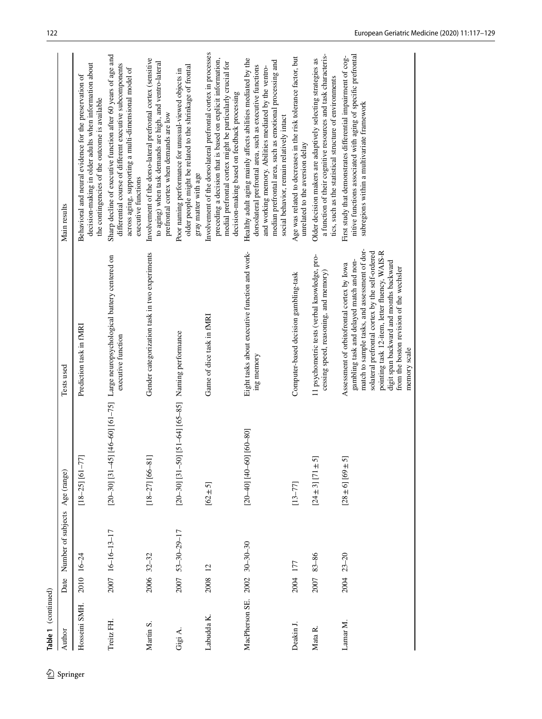|            | Table 1 (continued) |      |                                |                                                    |                                                                                                                                                                                                                                                                                                                                                    |                                                                                                                                                                                                                                                                                             |
|------------|---------------------|------|--------------------------------|----------------------------------------------------|----------------------------------------------------------------------------------------------------------------------------------------------------------------------------------------------------------------------------------------------------------------------------------------------------------------------------------------------------|---------------------------------------------------------------------------------------------------------------------------------------------------------------------------------------------------------------------------------------------------------------------------------------------|
| 2 Springer | Author              | Date | Number of subjects Age (range) |                                                    | Tests used                                                                                                                                                                                                                                                                                                                                         | Main results                                                                                                                                                                                                                                                                                |
|            | Hosseini SMH.       |      | 2010 16-24                     | $[18-25]$ $[61-77]$                                | Prediction task in fMRI                                                                                                                                                                                                                                                                                                                            | decision-making in older adults when information about<br>Behavioral and neural evidence for the preservation of<br>the contingencies of the outcome is available                                                                                                                           |
|            | Treitz FH.          |      | 2007 16-16-13-17               |                                                    | [20-30] [31-45] [46-60] [61-75] Large neuropsychological battery centered on<br>executive function                                                                                                                                                                                                                                                 | Sharp decline of executive function after 60 years of age and<br>differential course of different executive subcomponents<br>across aging, supporting a multi-dimensional model of<br>executive functions                                                                                   |
|            | Martin S.           |      | 2006 32-32                     | $[18-27]$ $[66-81]$                                | Gender categorization task in two experiments                                                                                                                                                                                                                                                                                                      | Involvement of the dorso-lateral prefrontal cortex (sensitive<br>to aging) when task demands are high, and ventro-lateral<br>prefrontal cortex when demands are low                                                                                                                         |
|            | Gigi A.             |      | 2007 53-30-29-17               | [20-30] [31-50] [51-64] [65-85] Naming performance |                                                                                                                                                                                                                                                                                                                                                    | older people might be related to the shrinkage of frontal<br>Poor naming performance for unusual-viewed objects in<br>gray matter with age                                                                                                                                                  |
|            | Labudda K.          | 2008 | 12                             | $[62 \pm 5]$                                       | Game of dice task in fMRI                                                                                                                                                                                                                                                                                                                          | Involvement of the dorsolateral prefrontal cortex in processes<br>preceding a decision that is based on explicit information,<br>medial prefrontal cortex might be particularly crucial for<br>decision-making based on feedback processing                                                 |
|            | MacPherson SE.      | 2002 | $30 - 30 - 30$                 | $[20-40]$ [40-60] [60-80]                          | Eight tasks about executive function and work-<br>ing memory                                                                                                                                                                                                                                                                                       | Healthy adult aging mainly affects abilities mediated by the<br>median prefrontal area, such as emotional processing and<br>dorsolateral prefrontal area, such as executive functions<br>and working memory. Abilities mediated by the ventro-<br>social behavior, remain relatively intact |
|            | Deakin J.           | 2004 | 177                            | $[13 - 77]$                                        | Computer-based decision gambling-task                                                                                                                                                                                                                                                                                                              | Age was related to decreases in the risk tolerance factor, but<br>unrelated to the aversion delay                                                                                                                                                                                           |
|            | Mata R.             | 2007 | $83 - 86$                      | $[24 \pm 3]$ $[71 \pm 5]$                          | 11 psychometric tests (verbal knowledge, pro-<br>cessing speed, reasoning, and memory)                                                                                                                                                                                                                                                             | a function of their cognitive resources and task characteris-<br>Older decision makers are adaptively selecting strategies as<br>tics, such as the statistical structure of environments                                                                                                    |
|            | Lamar M.            |      | 2004 23-20                     | $[28 \pm 6]$ [69 ± 5]                              | match to sample tasks, and assessment of dor-<br>pointing task 12-item, letter fluency, WAIS-R<br>solateral prefrontal cortex by the self-ordered<br>gambling task and delayed match and non-<br>digit span backward and months backward<br>Assessment of orbitofrontal cortex by Iowa<br>from the boston revision of the wechsler<br>memory scale | nitive functions associated with aging of specific prefrontal<br>First study that demonstrates differential impairment of cog-<br>subregions within a multivariate framework                                                                                                                |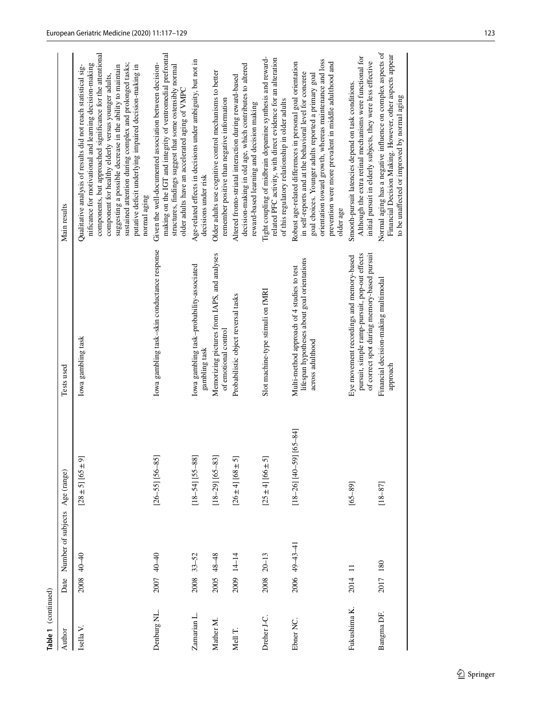|              | Number of subjects Age (range)<br>Date |                                   | Tests used                                                                                                                               | Main results                                                                                                                                                                                                                                                                                                                                                                                                                                        |                                               |
|--------------|----------------------------------------|-----------------------------------|------------------------------------------------------------------------------------------------------------------------------------------|-----------------------------------------------------------------------------------------------------------------------------------------------------------------------------------------------------------------------------------------------------------------------------------------------------------------------------------------------------------------------------------------------------------------------------------------------------|-----------------------------------------------|
|              | $40 - 40$<br>2008                      | $[28 \pm 5]$ [65 ± 9]             | Iowa gambling task                                                                                                                       | components, but approached significance for the attentional<br>sustained attention during complex and prolonged tasks;<br>nificance for motivational and learning decision-making<br>suggesting a possible decrease in the ability to maintain<br>Qualitative analysis of results did not reach statistical sig-<br>putative deficit underlying impaired decision-making in<br>component for healthy elderly versus younger adults,<br>normal aging | European Geriatric Medicine (2020) 11:117-129 |
| Denburg NL.  | 2007 40-40                             | $[26 - 55]$ [56-85]               | Iowa gambling task-skin conductance response                                                                                             | making on the IGT and integrity of ventromedial prefrontal<br>Given the well-documented association between decision-<br>structures, findings suggest that some ostensibly normal<br>older adults have an accelerated aging of VMPC                                                                                                                                                                                                                 |                                               |
| Zamarian L.  | $33 - 52$<br>2008                      | $[18 - 54]$ $[55 - 88]$           | Iowa gambling task-probability-associated<br>gambling task                                                                               | Age-related effects in decisions under ambiguity, but not in<br>decisions under risk                                                                                                                                                                                                                                                                                                                                                                |                                               |
|              | $48 - 48$<br>2005                      | $[18-29]$ [65-83]                 | Memorizing pictures from IAPS, and analyses<br>of emotional control                                                                      | Older adults use cognitive control mechanisms to better<br>remember positive than negative information                                                                                                                                                                                                                                                                                                                                              |                                               |
|              | 2009 14-14                             | $[26 \pm 4]$ [68 ± 5]             | Probabilistic object reversal tasks                                                                                                      | decision-making in old age, which contributes to altered<br>Altered fronto-striatal interaction during reward-based<br>reward-based learning and decision making                                                                                                                                                                                                                                                                                    |                                               |
| Dreher J-C.  | $20 - 13$<br>2008                      | $[25 \pm 4]$ [66 $\pm 5$ ]        | Slot machine-type stimuli on fMRI                                                                                                        | Tight coupling of midbrain dopamine synthesis and reward-<br>related PFC activity, with direct evidence for an alteration<br>of this regulatory relationship in older adults                                                                                                                                                                                                                                                                        |                                               |
| Ebner NC.    | 2006 49-43-41                          | ₹<br>$[18-26]$ $[40-59]$ $[65-8]$ | lifespan hypotheses about goal orientations<br>Multi-method approach of 4 studies to test<br>across adulthood                            | orientation toward growth, whereas maintenance and loss<br>prevention were more prevalent in middle adulthood and<br>Robust age-related differences in personal goal orientation<br>in self-reports and at the behavioral level for concrete<br>goal choices. Younger adults reported a primary goal<br>older age                                                                                                                                   |                                               |
| Fukushima K. | 2014                                   | $[65 - 89]$                       | of correct spot during memory-based pursuit<br>pursuit, simple ramp-pursuit, pop-out effects<br>Eye movement recordings and memory-based | Although the extra retinal mechanisms were functional for<br>initial pursuit in elderly subjects, they were less effective<br>Smooth-pursuit latencies depend on task conditions.                                                                                                                                                                                                                                                                   |                                               |
| Bangma DF.   | 2017 180                               | $[18 - 87]$                       | Financial decision-making multimodal<br>approach                                                                                         | Normal aging has a negative influence on complex aspects of<br>Financial Decision Making. However, other aspects appear<br>to be unaffected or improved by normal aging                                                                                                                                                                                                                                                                             |                                               |

Table 1 (continued)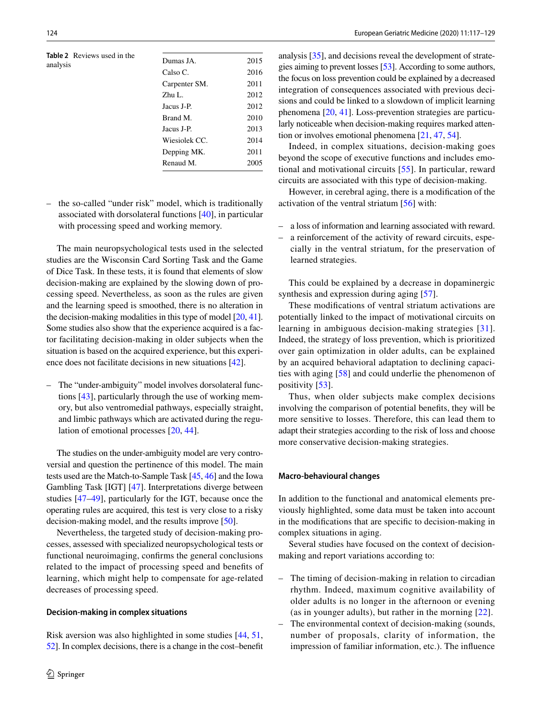<span id="page-7-0"></span>**Table 2** Reviews used in the

| <b>Table 2</b> Reviews used in the<br>analysis | Dumas JA.     | 2015 |
|------------------------------------------------|---------------|------|
|                                                | Calso C.      | 2016 |
|                                                | Carpenter SM. | 2011 |
|                                                | Zhu L.        | 2012 |
|                                                | Jacus J-P.    | 2012 |
|                                                | Brand M.      | 2010 |
|                                                | Jacus J-P.    | 2013 |
|                                                | Wiesiolek CC. | 2014 |
|                                                | Depping MK.   | 2011 |
|                                                | Renaud M.     | 2005 |
|                                                |               |      |

– the so-called "under risk" model, which is traditionally associated with dorsolateral functions [[40\]](#page-11-35), in particular with processing speed and working memory.

The main neuropsychological tests used in the selected studies are the Wisconsin Card Sorting Task and the Game of Dice Task. In these tests, it is found that elements of slow decision-making are explained by the slowing down of processing speed. Nevertheless, as soon as the rules are given and the learning speed is smoothed, there is no alteration in the decision-making modalities in this type of model [\[20](#page-11-19), [41](#page-11-36)]. Some studies also show that the experience acquired is a factor facilitating decision-making in older subjects when the situation is based on the acquired experience, but this experience does not facilitate decisions in new situations [[42\]](#page-12-0).

– The "under-ambiguity" model involves dorsolateral functions [\[43](#page-12-1)], particularly through the use of working memory, but also ventromedial pathways, especially straight, and limbic pathways which are activated during the regulation of emotional processes [[20,](#page-11-19) [44](#page-12-2)].

The studies on the under-ambiguity model are very controversial and question the pertinence of this model. The main tests used are the Match-to-Sample Task [\[45,](#page-12-3) [46\]](#page-12-4) and the Iowa Gambling Task [IGT] [[47\]](#page-12-5). Interpretations diverge between studies [\[47](#page-12-5)[–49](#page-12-6)], particularly for the IGT, because once the operating rules are acquired, this test is very close to a risky decision-making model, and the results improve [\[50\]](#page-12-7).

Nevertheless, the targeted study of decision-making processes, assessed with specialized neuropsychological tests or functional neuroimaging, confrms the general conclusions related to the impact of processing speed and benefts of learning, which might help to compensate for age-related decreases of processing speed.

#### **Decision‑making in complex situations**

Risk aversion was also highlighted in some studies [\[44](#page-12-2), [51,](#page-12-8) [52\]](#page-12-9). In complex decisions, there is a change in the cost–beneft analysis [\[35\]](#page-11-37), and decisions reveal the development of strategies aiming to prevent losses [\[53\]](#page-12-10). According to some authors, the focus on loss prevention could be explained by a decreased integration of consequences associated with previous decisions and could be linked to a slowdown of implicit learning phenomena [\[20,](#page-11-19) [41](#page-11-36)]. Loss-prevention strategies are particularly noticeable when decision-making requires marked attention or involves emotional phenomena [\[21](#page-11-20), [47,](#page-12-5) [54](#page-12-11)].

Indeed, in complex situations, decision-making goes beyond the scope of executive functions and includes emotional and motivational circuits [[55](#page-12-12)]. In particular, reward circuits are associated with this type of decision-making.

However, in cerebral aging, there is a modifcation of the activation of the ventral striatum [\[56\]](#page-12-13) with:

- a loss of information and learning associated with reward.
- a reinforcement of the activity of reward circuits, especially in the ventral striatum, for the preservation of learned strategies.

This could be explained by a decrease in dopaminergic synthesis and expression during aging [[57\]](#page-12-14).

These modifcations of ventral striatum activations are potentially linked to the impact of motivational circuits on learning in ambiguous decision-making strategies [[31](#page-11-23)]. Indeed, the strategy of loss prevention, which is prioritized over gain optimization in older adults, can be explained by an acquired behavioral adaptation to declining capacities with aging [[58](#page-12-15)] and could underlie the phenomenon of positivity [\[53](#page-12-10)].

Thus, when older subjects make complex decisions involving the comparison of potential benefts, they will be more sensitive to losses. Therefore, this can lead them to adapt their strategies according to the risk of loss and choose more conservative decision-making strategies.

#### **Macro‑behavioural changes**

In addition to the functional and anatomical elements previously highlighted, some data must be taken into account in the modifcations that are specifc to decision-making in complex situations in aging.

Several studies have focused on the context of decisionmaking and report variations according to:

- The timing of decision-making in relation to circadian rhythm. Indeed, maximum cognitive availability of older adults is no longer in the afternoon or evening (as in younger adults), but rather in the morning [[22](#page-11-25)].
- The environmental context of decision-making (sounds, number of proposals, clarity of information, the impression of familiar information, etc.). The infuence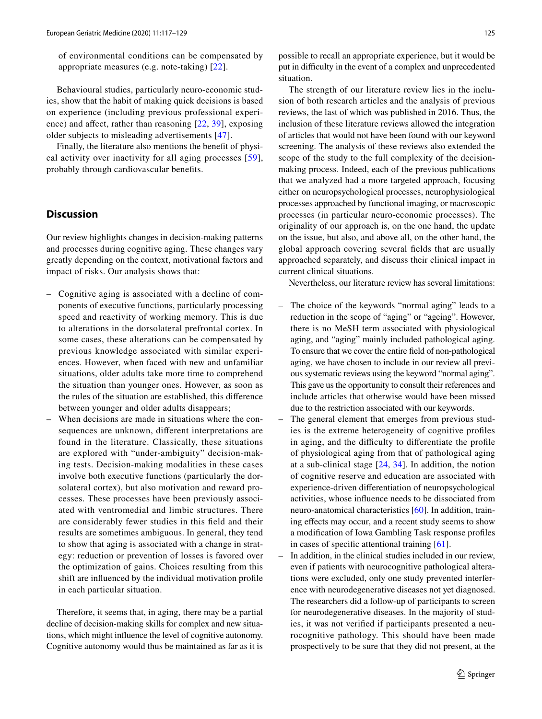of environmental conditions can be compensated by appropriate measures (e.g. note-taking) [\[22\]](#page-11-25).

Behavioural studies, particularly neuro-economic studies, show that the habit of making quick decisions is based on experience (including previous professional experience) and afect, rather than reasoning [[22](#page-11-25), [39](#page-11-34)], exposing older subjects to misleading advertisements [[47\]](#page-12-5).

Finally, the literature also mentions the beneft of physical activity over inactivity for all aging processes [\[59](#page-12-16)], probably through cardiovascular benefts.

# **Discussion**

Our review highlights changes in decision-making patterns and processes during cognitive aging. These changes vary greatly depending on the context, motivational factors and impact of risks. Our analysis shows that:

- Cognitive aging is associated with a decline of components of executive functions, particularly processing speed and reactivity of working memory. This is due to alterations in the dorsolateral prefrontal cortex. In some cases, these alterations can be compensated by previous knowledge associated with similar experiences. However, when faced with new and unfamiliar situations, older adults take more time to comprehend the situation than younger ones. However, as soon as the rules of the situation are established, this diference between younger and older adults disappears;
- When decisions are made in situations where the consequences are unknown, diferent interpretations are found in the literature. Classically, these situations are explored with "under-ambiguity" decision-making tests. Decision-making modalities in these cases involve both executive functions (particularly the dorsolateral cortex), but also motivation and reward processes. These processes have been previously associated with ventromedial and limbic structures. There are considerably fewer studies in this feld and their results are sometimes ambiguous. In general, they tend to show that aging is associated with a change in strategy: reduction or prevention of losses is favored over the optimization of gains. Choices resulting from this shift are infuenced by the individual motivation profle in each particular situation.

Therefore, it seems that, in aging, there may be a partial decline of decision-making skills for complex and new situations, which might infuence the level of cognitive autonomy. Cognitive autonomy would thus be maintained as far as it is possible to recall an appropriate experience, but it would be put in difculty in the event of a complex and unprecedented situation.

The strength of our literature review lies in the inclusion of both research articles and the analysis of previous reviews, the last of which was published in 2016. Thus, the inclusion of these literature reviews allowed the integration of articles that would not have been found with our keyword screening. The analysis of these reviews also extended the scope of the study to the full complexity of the decisionmaking process. Indeed, each of the previous publications that we analyzed had a more targeted approach, focusing either on neuropsychological processes, neurophysiological processes approached by functional imaging, or macroscopic processes (in particular neuro-economic processes). The originality of our approach is, on the one hand, the update on the issue, but also, and above all, on the other hand, the global approach covering several felds that are usually approached separately, and discuss their clinical impact in current clinical situations.

Nevertheless, our literature review has several limitations:

- The choice of the keywords "normal aging" leads to a reduction in the scope of "aging" or "ageing". However, there is no MeSH term associated with physiological aging, and "aging" mainly included pathological aging. To ensure that we cover the entire feld of non-pathological aging, we have chosen to include in our review all previous systematic reviews using the keyword "normal aging". This gave us the opportunity to consult their references and include articles that otherwise would have been missed due to the restriction associated with our keywords.
- The general element that emerges from previous studies is the extreme heterogeneity of cognitive profles in aging, and the difficulty to differentiate the profile of physiological aging from that of pathological aging at a sub-clinical stage [\[24](#page-11-31), [34](#page-11-38)]. In addition, the notion of cognitive reserve and education are associated with experience-driven diferentiation of neuropsychological activities, whose infuence needs to be dissociated from neuro-anatomical characteristics [[60\]](#page-12-17). In addition, training efects may occur, and a recent study seems to show a modifcation of Iowa Gambling Task response profles in cases of specifc attentional training [\[61](#page-12-18)].
- In addition, in the clinical studies included in our review, even if patients with neurocognitive pathological alterations were excluded, only one study prevented interference with neurodegenerative diseases not yet diagnosed. The researchers did a follow-up of participants to screen for neurodegenerative diseases. In the majority of studies, it was not verifed if participants presented a neurocognitive pathology. This should have been made prospectively to be sure that they did not present, at the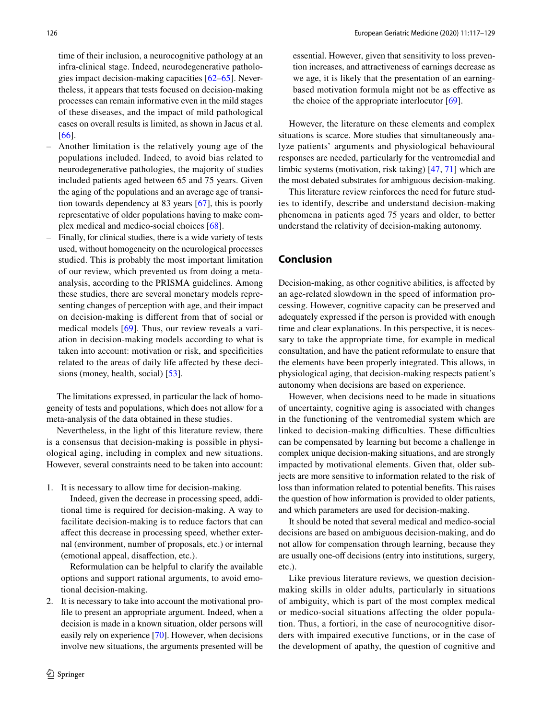time of their inclusion, a neurocognitive pathology at an infra-clinical stage. Indeed, neurodegenerative pathologies impact decision-making capacities [\[62](#page-12-19)–[65\]](#page-12-20). Nevertheless, it appears that tests focused on decision-making processes can remain informative even in the mild stages of these diseases, and the impact of mild pathological cases on overall results is limited, as shown in Jacus et al. [[66\]](#page-12-21).

- Another limitation is the relatively young age of the populations included. Indeed, to avoid bias related to neurodegenerative pathologies, the majority of studies included patients aged between 65 and 75 years. Given the aging of the populations and an average age of transition towards dependency at 83 years [[67\]](#page-12-22), this is poorly representative of older populations having to make complex medical and medico-social choices [\[68\]](#page-12-23).
- Finally, for clinical studies, there is a wide variety of tests used, without homogeneity on the neurological processes studied. This is probably the most important limitation of our review, which prevented us from doing a metaanalysis, according to the PRISMA guidelines. Among these studies, there are several monetary models representing changes of perception with age, and their impact on decision-making is diferent from that of social or medical models [\[69\]](#page-12-24). Thus, our review reveals a variation in decision-making models according to what is taken into account: motivation or risk, and specifcities related to the areas of daily life affected by these decisions (money, health, social) [\[53](#page-12-10)].

The limitations expressed, in particular the lack of homogeneity of tests and populations, which does not allow for a meta-analysis of the data obtained in these studies.

Nevertheless, in the light of this literature review, there is a consensus that decision-making is possible in physiological aging, including in complex and new situations. However, several constraints need to be taken into account:

1. It is necessary to allow time for decision-making.

 Indeed, given the decrease in processing speed, additional time is required for decision-making. A way to facilitate decision-making is to reduce factors that can afect this decrease in processing speed, whether external (environment, number of proposals, etc.) or internal (emotional appeal, disafection, etc.).

 Reformulation can be helpful to clarify the available options and support rational arguments, to avoid emotional decision-making.

2. It is necessary to take into account the motivational profle to present an appropriate argument. Indeed, when a decision is made in a known situation, older persons will easily rely on experience [\[70](#page-12-25)]. However, when decisions involve new situations, the arguments presented will be essential. However, given that sensitivity to loss prevention increases, and attractiveness of earnings decrease as we age, it is likely that the presentation of an earningbased motivation formula might not be as efective as the choice of the appropriate interlocutor [[69](#page-12-24)].

However, the literature on these elements and complex situations is scarce. More studies that simultaneously analyze patients' arguments and physiological behavioural responses are needed, particularly for the ventromedial and limbic systems (motivation, risk taking) [[47,](#page-12-5) [71\]](#page-12-26) which are the most debated substrates for ambiguous decision-making.

This literature review reinforces the need for future studies to identify, describe and understand decision-making phenomena in patients aged 75 years and older, to better understand the relativity of decision-making autonomy.

# **Conclusion**

Decision-making, as other cognitive abilities, is afected by an age-related slowdown in the speed of information processing. However, cognitive capacity can be preserved and adequately expressed if the person is provided with enough time and clear explanations. In this perspective, it is necessary to take the appropriate time, for example in medical consultation, and have the patient reformulate to ensure that the elements have been properly integrated. This allows, in physiological aging, that decision-making respects patient's autonomy when decisions are based on experience.

However, when decisions need to be made in situations of uncertainty, cognitive aging is associated with changes in the functioning of the ventromedial system which are linked to decision-making difficulties. These difficulties can be compensated by learning but become a challenge in complex unique decision-making situations, and are strongly impacted by motivational elements. Given that, older subjects are more sensitive to information related to the risk of loss than information related to potential benefts. This raises the question of how information is provided to older patients, and which parameters are used for decision-making.

It should be noted that several medical and medico-social decisions are based on ambiguous decision-making, and do not allow for compensation through learning, because they are usually one-off decisions (entry into institutions, surgery, etc.).

Like previous literature reviews, we question decisionmaking skills in older adults, particularly in situations of ambiguity, which is part of the most complex medical or medico-social situations affecting the older population. Thus, a fortiori, in the case of neurocognitive disorders with impaired executive functions, or in the case of the development of apathy, the question of cognitive and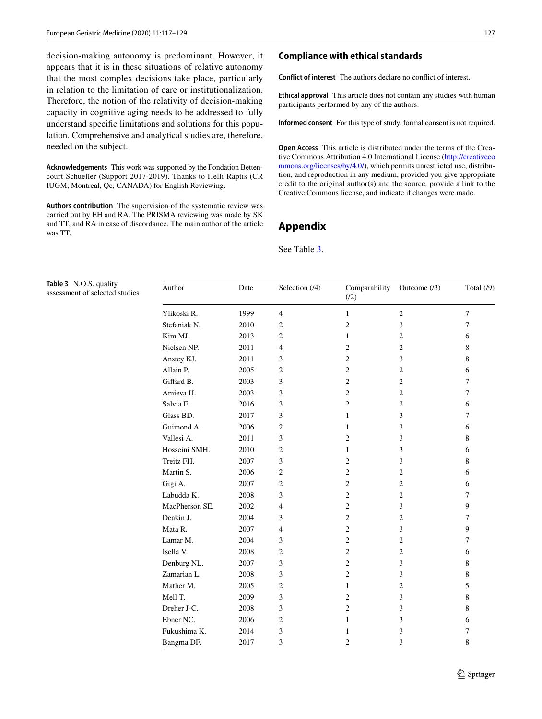decision-making autonomy is predominant. However, it appears that it is in these situations of relative autonomy that the most complex decisions take place, particularly in relation to the limitation of care or institutionalization. Therefore, the notion of the relativity of decision-making capacity in cognitive aging needs to be addressed to fully understand specifc limitations and solutions for this population. Comprehensive and analytical studies are, therefore, needed on the subject.

**Acknowledgements** This work was supported by the Fondation Bettencourt Schueller (Support 2017-2019). Thanks to Helli Raptis (CR IUGM, Montreal, Qc, CANADA) for English Reviewing.

**Authors contribution** The supervision of the systematic review was carried out by EH and RA. The PRISMA reviewing was made by SK and TT, and RA in case of discordance. The main author of the article was TT.

### **Compliance with ethical standards**

**Conflict of interest** The authors declare no confict of interest.

**Ethical approval** This article does not contain any studies with human participants performed by any of the authors.

**Informed consent** For this type of study, formal consent is not required.

**Open Access** This article is distributed under the terms of the Creative Commons Attribution 4.0 International License ([http://creativeco](http://creativecommons.org/licenses/by/4.0/) [mmons.org/licenses/by/4.0/](http://creativecommons.org/licenses/by/4.0/)), which permits unrestricted use, distribution, and reproduction in any medium, provided you give appropriate credit to the original author(s) and the source, provide a link to the Creative Commons license, and indicate if changes were made.

# <span id="page-10-0"></span>**Appendix**

#### See Table [3](#page-10-1).

<span id="page-10-1"></span>**Table 3** N.O.S. quality assessment of selected studies

| Author         | Date | Selection (/4) | Comparability<br>(12) | Outcome $(13)$ | Total $(9)$    |
|----------------|------|----------------|-----------------------|----------------|----------------|
| Ylikoski R.    | 1999 | $\overline{4}$ | 1                     | $\overline{2}$ | $\overline{7}$ |
| Stefaniak N.   | 2010 | $\overline{c}$ | $\overline{c}$        | 3              | $\tau$         |
| Kim MJ.        | 2013 | $\overline{2}$ | 1                     | $\overline{c}$ | 6              |
| Nielsen NP.    | 2011 | $\overline{4}$ | 2                     | 2              | 8              |
| Anstey KJ.     | 2011 | 3              | $\overline{c}$        | 3              | 8              |
| Allain P.      | 2005 | $\overline{2}$ | $\overline{c}$        | $\overline{c}$ | 6              |
| Giffard B.     | 2003 | 3              | $\overline{c}$        | $\overline{c}$ | $\overline{7}$ |
| Amieva H.      | 2003 | 3              | $\overline{c}$        | 2              | $\tau$         |
| Salvia E.      | 2016 | 3              | $\overline{c}$        | $\overline{c}$ | 6              |
| Glass BD.      | 2017 | 3              | $\mathbf{1}$          | 3              | 7              |
| Guimond A.     | 2006 | $\overline{2}$ | $\mathbf{1}$          | 3              | 6              |
| Vallesi A.     | 2011 | 3              | $\overline{c}$        | 3              | 8              |
| Hosseini SMH.  | 2010 | $\overline{2}$ | 1                     | 3              | 6              |
| Treitz FH.     | 2007 | 3              | $\overline{c}$        | 3              | 8              |
| Martin S.      | 2006 | $\overline{c}$ | $\overline{c}$        | $\overline{c}$ | 6              |
| Gigi A.        | 2007 | $\overline{2}$ | $\overline{c}$        | $\overline{c}$ | 6              |
| Labudda K.     | 2008 | 3              | $\overline{c}$        | 2              | 7              |
| MacPherson SE. | 2002 | 4              | $\overline{c}$        | 3              | 9              |
| Deakin J.      | 2004 | 3              | $\overline{c}$        | $\overline{c}$ | 7              |
| Mata R.        | 2007 | 4              | $\overline{c}$        | 3              | 9              |
| Lamar M.       | 2004 | 3              | 2                     | $\overline{c}$ | 7              |
| Isella V.      | 2008 | $\overline{2}$ | $\overline{c}$        | $\overline{c}$ | 6              |
| Denburg NL.    | 2007 | 3              | $\overline{c}$        | 3              | 8              |
| Zamarian L.    | 2008 | 3              | $\overline{c}$        | 3              | 8              |
| Mather M.      | 2005 | $\overline{2}$ | 1                     | $\overline{c}$ | 5              |
| Mell T.        | 2009 | 3              | $\overline{c}$        | 3              | 8              |
| Dreher J-C.    | 2008 | 3              | $\overline{c}$        | 3              | 8              |
| Ebner NC.      | 2006 | $\overline{c}$ | $\mathbf{1}$          | 3              | 6              |
| Fukushima K.   | 2014 | 3              | 1                     | 3              | $\overline{7}$ |
| Bangma DF.     | 2017 | 3              | $\overline{c}$        | 3              | 8              |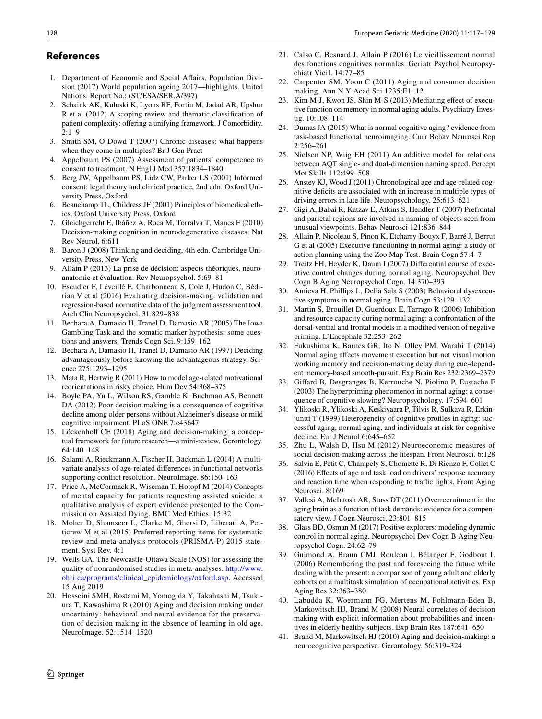#### **References**

- <span id="page-11-0"></span>1. Department of Economic and Social Afairs, Population Division (2017) World population ageing 2017—highlights. United Nations. Report No.: (ST/ESA/SER.A/397)
- <span id="page-11-1"></span>2. Schaink AK, Kuluski K, Lyons RF, Fortin M, Jadad AR, Upshur R et al (2012) A scoping review and thematic classifcation of patient complexity: offering a unifying framework. J Comorbidity.  $2.1 - 9$
- <span id="page-11-2"></span>3. Smith SM, O'Dowd T (2007) Chronic diseases: what happens when they come in multiples? Br J Gen Pract
- <span id="page-11-3"></span>4. Appelbaum PS (2007) Assessment of patients' competence to consent to treatment. N Engl J Med 357:1834–1840
- <span id="page-11-4"></span>5. Berg JW, Appelbaum PS, Lidz CW, Parker LS (2001) Informed consent: legal theory and clinical practice, 2nd edn. Oxford University Press, Oxford
- <span id="page-11-5"></span>6. Beauchamp TL, Childress JF (2001) Principles of biomedical ethics. Oxford University Press, Oxford
- <span id="page-11-6"></span>7. Gleichgerrcht E, Ibáñez A, Roca M, Torralva T, Manes F (2010) Decision-making cognition in neurodegenerative diseases. Nat Rev Neurol. 6:611
- <span id="page-11-7"></span>8. Baron J (2008) Thinking and deciding, 4th edn. Cambridge University Press, New York
- <span id="page-11-8"></span>9. Allain P (2013) La prise de décision: aspects théoriques, neuroanatomie et évaluation. Rev Neuropsychol. 5:69–81
- <span id="page-11-9"></span>10. Escudier F, Léveillé E, Charbonneau S, Cole J, Hudon C, Bédirian V et al (2016) Evaluating decision-making: validation and regression-based normative data of the judgment assessment tool. Arch Clin Neuropsychol. 31:829–838
- <span id="page-11-10"></span>11. Bechara A, Damasio H, Tranel D, Damasio AR (2005) The Iowa Gambling Task and the somatic marker hypothesis: some questions and answers. Trends Cogn Sci. 9:159–162
- <span id="page-11-11"></span>12. Bechara A, Damasio H, Tranel D, Damasio AR (1997) Deciding advantageously before knowing the advantageous strategy. Science 275:1293–1295
- <span id="page-11-12"></span>13. Mata R, Hertwig R (2011) How to model age-related motivational reorientations in risky choice. Hum Dev 54:368–375
- <span id="page-11-13"></span>14. Boyle PA, Yu L, Wilson RS, Gamble K, Buchman AS, Bennett DA (2012) Poor decision making is a consequence of cognitive decline among older persons without Alzheimer's disease or mild cognitive impairment. PLoS ONE 7:e43647
- <span id="page-11-14"></span>15. Löckenhoff CE (2018) Aging and decision-making: a conceptual framework for future research—a mini-review. Gerontology. 64:140–148
- <span id="page-11-15"></span>16. Salami A, Rieckmann A, Fischer H, Bäckman L (2014) A multivariate analysis of age-related diferences in functional networks supporting confict resolution. NeuroImage. 86:150–163
- <span id="page-11-16"></span>17. Price A, McCormack R, Wiseman T, Hotopf M (2014) Concepts of mental capacity for patients requesting assisted suicide: a qualitative analysis of expert evidence presented to the Commission on Assisted Dying. BMC Med Ethics. 15:32
- <span id="page-11-17"></span>18. Moher D, Shamseer L, Clarke M, Ghersi D, Liberati A, Petticrew M et al (2015) Preferred reporting items for systematic review and meta-analysis protocols (PRISMA-P) 2015 statement. Syst Rev. 4:1
- <span id="page-11-18"></span>19. Wells GA. The Newcastle-Ottawa Scale (NOS) for assessing the quality of nonrandomised studies in meta-analyses. [http://www.](http://www.ohri.ca/programs/clinical_epidemiology/oxford.asp) [ohri.ca/programs/clinical\\_epidemiology/oxford.asp](http://www.ohri.ca/programs/clinical_epidemiology/oxford.asp). Accessed 15 Aug 2019
- <span id="page-11-19"></span>20. Hosseini SMH, Rostami M, Yomogida Y, Takahashi M, Tsukiura T, Kawashima R (2010) Aging and decision making under uncertainty: behavioral and neural evidence for the preservation of decision making in the absence of learning in old age. NeuroImage. 52:1514–1520
- <span id="page-11-20"></span>21. Calso C, Besnard J, Allain P (2016) Le vieillissement normal des fonctions cognitives normales. Geriatr Psychol Neuropsychiatr Vieil. 14:77–85
- <span id="page-11-25"></span>22. Carpenter SM, Yoon C (2011) Aging and consumer decision making. Ann N Y Acad Sci 1235:E1–12
- <span id="page-11-26"></span>23. Kim M-J, Kwon JS, Shin M-S (2013) Mediating efect of executive function on memory in normal aging adults. Psychiatry Investig. 10:108–114
- <span id="page-11-31"></span>24. Dumas JA (2015) What is normal cognitive aging? evidence from task-based functional neuroimaging. Curr Behav Neurosci Rep 2:256–261
- <span id="page-11-27"></span>25. Nielsen NP, Wiig EH (2011) An additive model for relations between AQT single- and dual-dimension naming speed. Percept Mot Skills 112:499–508
- 26. Anstey KJ, Wood J (2011) Chronological age and age-related cognitive defcits are associated with an increase in multiple types of driving errors in late life. Neuropsychology. 25:613–621
- 27. Gigi A, Babai R, Katzav E, Atkins S, Hendler T (2007) Prefrontal and parietal regions are involved in naming of objects seen from unusual viewpoints. Behav Neurosci 121:836–844
- <span id="page-11-21"></span>28. Allain P, Nicoleau S, Pinon K, Etcharry-Bouyx F, Barré J, Berrut G et al (2005) Executive functioning in normal aging: a study of action planning using the Zoo Map Test. Brain Cogn 57:4–7
- <span id="page-11-22"></span>29. Treitz FH, Heyder K, Daum I (2007) Diferential course of executive control changes during normal aging. Neuropsychol Dev Cogn B Aging Neuropsychol Cogn. 14:370–393
- <span id="page-11-28"></span>30. Amieva H, Phillips L, Della Sala S (2003) Behavioral dysexecutive symptoms in normal aging. Brain Cogn 53:129–132
- <span id="page-11-23"></span>31. Martin S, Brouillet D, Guerdoux E, Tarrago R (2006) Inhibition and resource capacity during normal aging: a confrontation of the dorsal-ventral and frontal models in a modifed version of negative priming. L'Encephale 32:253–262
- <span id="page-11-24"></span>32. Fukushima K, Barnes GR, Ito N, Olley PM, Warabi T (2014) Normal aging afects movement execution but not visual motion working memory and decision-making delay during cue-dependent memory-based smooth-pursuit. Exp Brain Res 232:2369–2379
- <span id="page-11-29"></span>33. Gifard B, Desgranges B, Kerrouche N, Piolino P, Eustache F (2003) The hyperpriming phenomenon in normal aging: a consequence of cognitive slowing? Neuropsychology. 17:594–601
- <span id="page-11-38"></span>34. Ylikoski R, Ylikoski A, Keskivaara P, Tilvis R, Sulkava R, Erkinjuntti T (1999) Heterogeneity of cognitive profiles in aging: successful aging, normal aging, and individuals at risk for cognitive decline. Eur J Neurol 6:645–652
- <span id="page-11-37"></span>35. Zhu L, Walsh D, Hsu M (2012) Neuroeconomic measures of social decision-making across the lifespan. Front Neurosci. 6:128
- <span id="page-11-30"></span>36. Salvia E, Petit C, Champely S, Chomette R, Di Rienzo F, Collet C (2016) Efects of age and task load on drivers' response accuracy and reaction time when responding to traffic lights. Front Aging Neurosci. 8:169
- <span id="page-11-32"></span>37. Vallesi A, McIntosh AR, Stuss DT (2011) Overrecruitment in the aging brain as a function of task demands: evidence for a compensatory view. J Cogn Neurosci. 23:801–815
- <span id="page-11-33"></span>38. Glass BD, Osman M (2017) Positive explorers: modeling dynamic control in normal aging. Neuropsychol Dev Cogn B Aging Neuropsychol Cogn. 24:62–79
- <span id="page-11-34"></span>39. Guimond A, Braun CMJ, Rouleau I, Bélanger F, Godbout L (2006) Remembering the past and foreseeing the future while dealing with the present: a comparison of young adult and elderly cohorts on a multitask simulation of occupational activities. Exp Aging Res 32:363–380
- <span id="page-11-35"></span>40. Labudda K, Woermann FG, Mertens M, Pohlmann-Eden B, Markowitsch HJ, Brand M (2008) Neural correlates of decision making with explicit information about probabilities and incentives in elderly healthy subjects. Exp Brain Res 187:641–650
- <span id="page-11-36"></span>41. Brand M, Markowitsch HJ (2010) Aging and decision-making: a neurocognitive perspective. Gerontology. 56:319–324